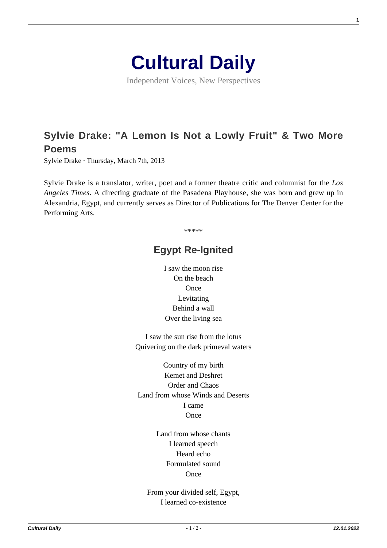

Independent Voices, New Perspectives

## **[Sylvie Drake: "A Lemon Is Not a Lowly Fruit" & Two More](https://culturaldaily.com/poetry-sylvie-drake-lemon-not-lowly/) [Poems](https://culturaldaily.com/poetry-sylvie-drake-lemon-not-lowly/)**

Sylvie Drake · Thursday, March 7th, 2013

Sylvie Drake is a translator, writer, poet and a former theatre critic and columnist for the *Los Angeles Times*. A directing graduate of the Pasadena Playhouse, she was born and grew up in Alexandria, Egypt, and currently serves as Director of Publications for The Denver Center for the Performing Arts.

\*\*\*\*\*

## **Egypt Re-Ignited**

I saw the moon rise On the beach **Once** Levitating Behind a wall Over the living sea

I saw the sun rise from the lotus Quivering on the dark primeval waters

Country of my birth Kemet and Deshret Order and Chaos Land from whose Winds and Deserts I came **Once** 

> Land from whose chants I learned speech Heard echo Formulated sound **Once**

From your divided self, Egypt, I learned co-existence

**1**